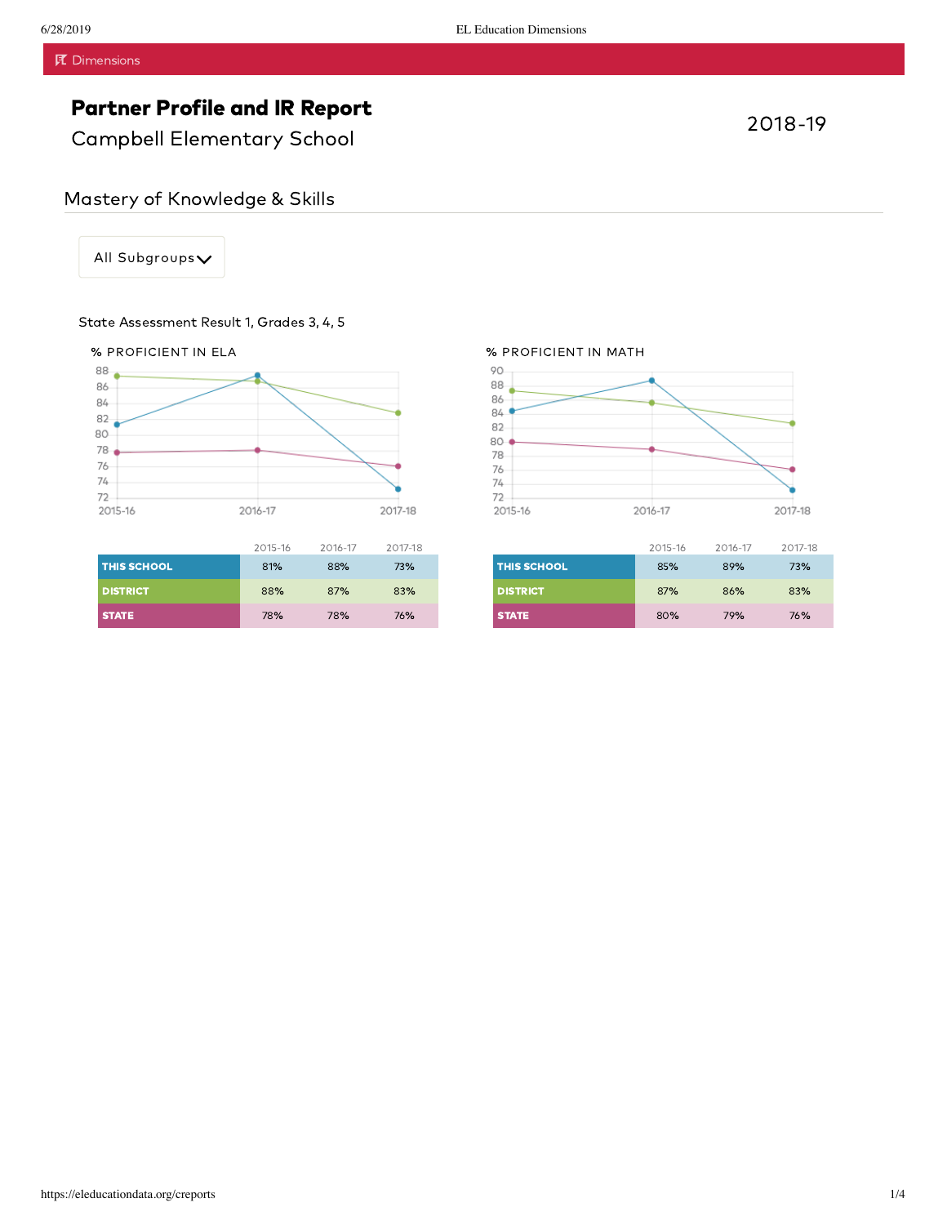Campbell Elementary School

All Subgroups

### State Assessment Result 1, Grades 3, 4, 5



|                    | 2015-16 | 2016-17 | 2017-18 |
|--------------------|---------|---------|---------|
| <b>THIS SCHOOL</b> | 81%     | 88%     | 73%     |
| <b>DISTRICT</b>    | 88%     | 87%     | 83%     |
| <b>STATE</b>       | 78%     | 78%     | 76%     |

#### % PROFICIENT IN MATH



|                    | 2015-16 | 2016-17 | 2017-18 |
|--------------------|---------|---------|---------|
| <b>THIS SCHOOL</b> | 85%     | 89%     | 73%     |
| <b>DISTRICT</b>    | 87%     | 86%     | 83%     |
| <b>STATE</b>       | 80%     | 79%     | 76%     |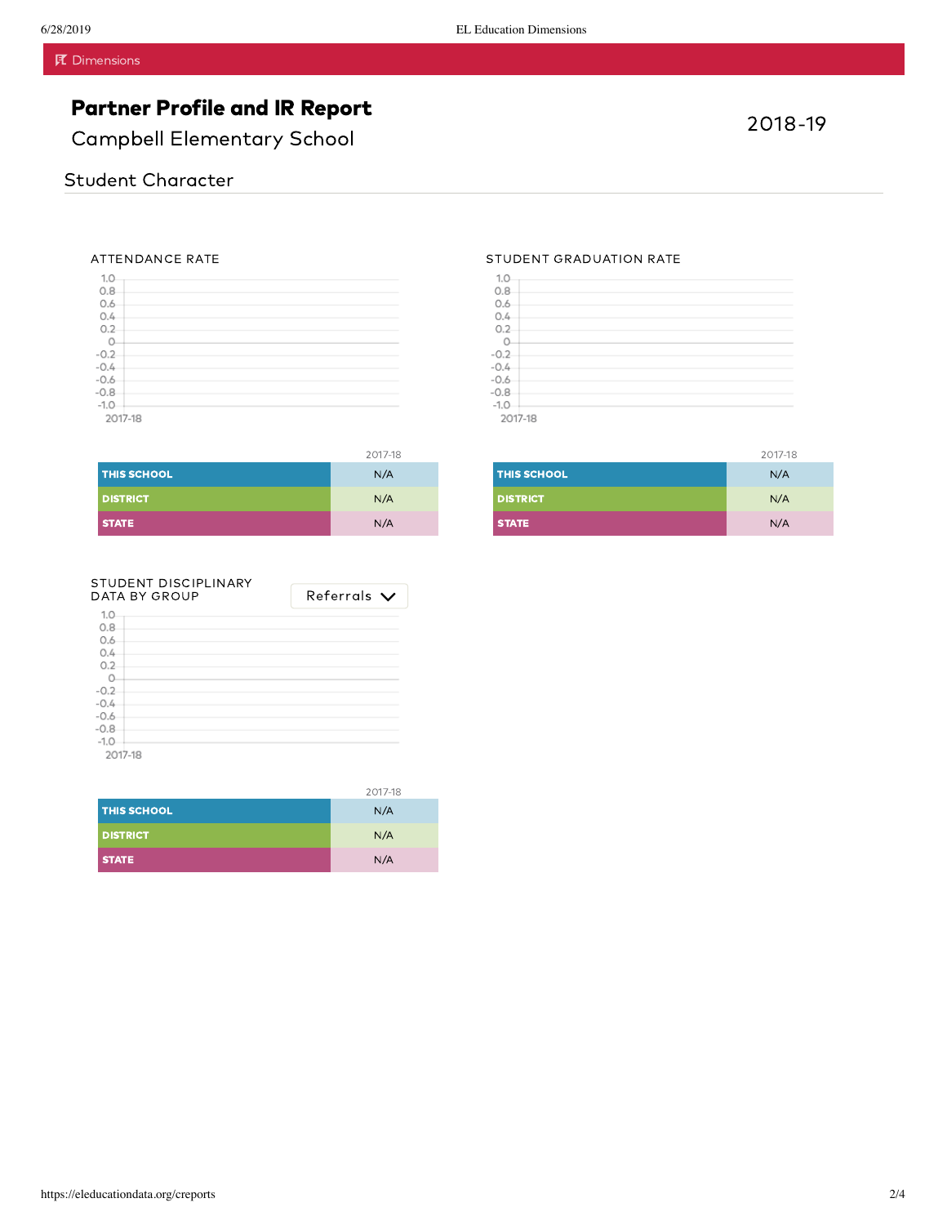Campbell Elementary School

#### ATTENDANCE RATE

| 1.0                        |  |  |
|----------------------------|--|--|
| 0.8                        |  |  |
| 0.6                        |  |  |
| 0.4                        |  |  |
| O.2                        |  |  |
| $\Omega$                   |  |  |
| $-0.2$<br>$-0.4$<br>$-0.6$ |  |  |
|                            |  |  |
|                            |  |  |
| $-0.8$                     |  |  |
| $-1.0$                     |  |  |
| 2017-18                    |  |  |

|                    | 2017-18 |
|--------------------|---------|
| <b>THIS SCHOOL</b> | N/A     |
| <b>DISTRICT</b>    | N/A     |
| <b>STATE</b>       | N/A     |

| STUDENT GRADUATION RATE |  |
|-------------------------|--|
|-------------------------|--|

| 1.0      |  |  |  |
|----------|--|--|--|
| 0.8      |  |  |  |
| 0.6      |  |  |  |
| 0.4      |  |  |  |
| $0.2 -$  |  |  |  |
| $\Omega$ |  |  |  |
| $-0.2$   |  |  |  |
| $-0.4$   |  |  |  |
| $-0.6$   |  |  |  |
| $-0.8$   |  |  |  |
| $-1.0$   |  |  |  |
| 2017-18  |  |  |  |

50.11-18

|                    | 2017-18 |
|--------------------|---------|
| <b>THIS SCHOOL</b> | N/A     |
| <b>DISTRICT</b>    | N/A     |
| <b>STATE</b>       | N/A     |

| STUDENT DISCIPLINARY<br>DATA BY GROUP | Referrals $\bm{\vee}$ |
|---------------------------------------|-----------------------|
| 1.0                                   |                       |
| 0.8                                   |                       |
| 0.6                                   |                       |
| 0.4                                   |                       |
| 0.2                                   |                       |
|                                       |                       |
| $-0.2$                                |                       |
| $-0.4$                                |                       |
| $-0.6$                                |                       |
| $-0.8$                                |                       |
| $-1.0$                                |                       |
| 2017-18                               |                       |

2017-18

| <b>THIS SCHOOL</b> | N/A |
|--------------------|-----|
| <b>DISTRICT</b>    | N/A |
| <b>STATE</b>       | N/A |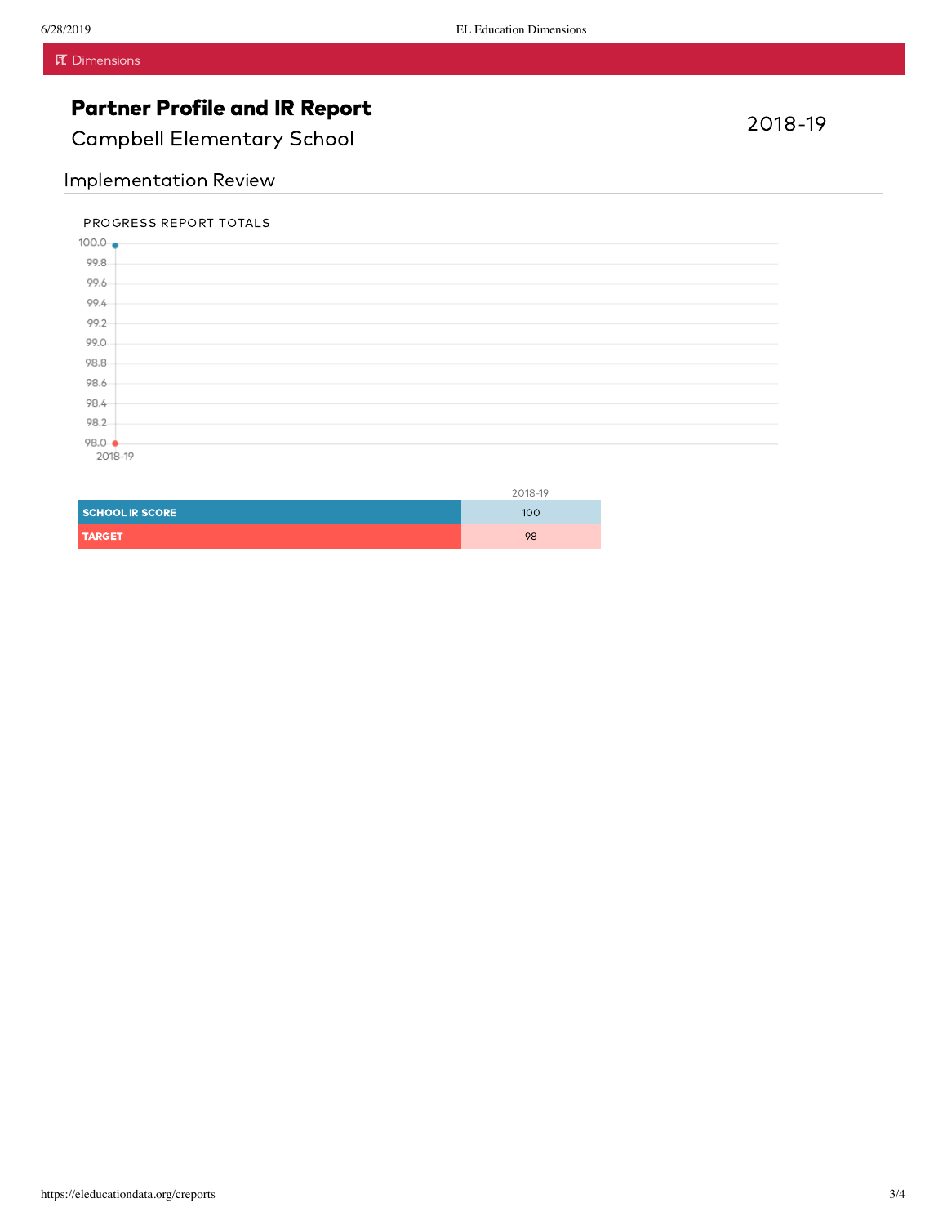Campbell Elementary School

### Implementation Review

### PROGRESS REPORT TOTALS



|                        | 2018-19 |
|------------------------|---------|
| <b>SCHOOL IR SCORE</b> | 100     |
| <b>TARGET</b>          | 98      |

### 2018-19